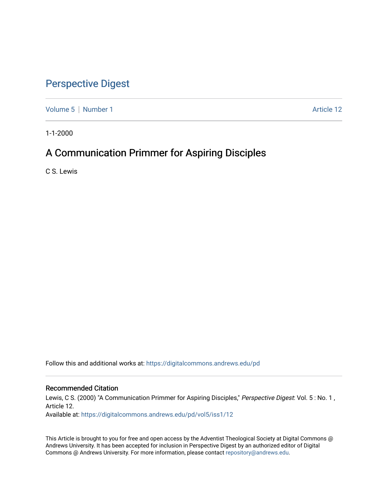# [Perspective Digest](https://digitalcommons.andrews.edu/pd)

[Volume 5](https://digitalcommons.andrews.edu/pd/vol5) | [Number 1](https://digitalcommons.andrews.edu/pd/vol5/iss1) Article 12

1-1-2000

# A Communication Primmer for Aspiring Disciples

C S. Lewis

Follow this and additional works at: [https://digitalcommons.andrews.edu/pd](https://digitalcommons.andrews.edu/pd?utm_source=digitalcommons.andrews.edu%2Fpd%2Fvol5%2Fiss1%2F12&utm_medium=PDF&utm_campaign=PDFCoverPages)

## Recommended Citation

Lewis, C S. (2000) "A Communication Primmer for Aspiring Disciples," Perspective Digest: Vol. 5: No. 1, Article 12. Available at: [https://digitalcommons.andrews.edu/pd/vol5/iss1/12](https://digitalcommons.andrews.edu/pd/vol5/iss1/12?utm_source=digitalcommons.andrews.edu%2Fpd%2Fvol5%2Fiss1%2F12&utm_medium=PDF&utm_campaign=PDFCoverPages)

This Article is brought to you for free and open access by the Adventist Theological Society at Digital Commons @ Andrews University. It has been accepted for inclusion in Perspective Digest by an authorized editor of Digital Commons @ Andrews University. For more information, please contact [repository@andrews.edu.](mailto:repository@andrews.edu)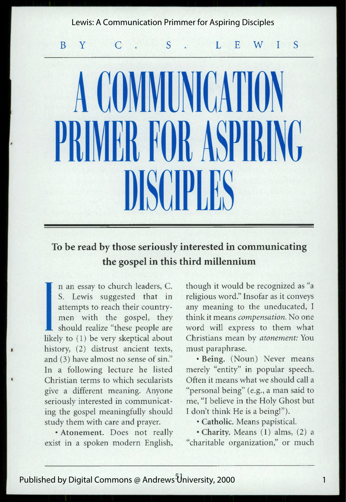## Lewis: A Communication Primmer for Aspiring Disciples

B Y C S S L E W IS

# A COMMUNICATION RR ROR ASPIR

## **To be read by those seriously interested in communicating the gospel in this third millennium**

Il n an essay to church leaders, C.<br>
S. Lewis suggested that in<br>
attempts to reach their country-<br>
men with the gospel, they<br>
should realize "these people are<br>
likely to (1) be very skeptical about<br>
history. (2) distrust a n an essay to church leaders, C. S. Lewis suggested that in attempts to reach their countrymen with the gospel, they should realize "these people are history, (2) distrust ancient texts, and (3) have almost no sense of sin." In a following lecture he listed Christian terms to which secularists give a different meaning. Anyone seriously interested in communicating the gospel meaningfully should study them with care and prayer.

• Atonement. Does not really exist in a spoken modern English,

though it would be recognized as "a religious word." Insofar as it conveys any meaning to the uneducated, I think it means *compensation.* No one word will express to them what Christians mean by *atonement:* You must paraphrase.

• Being. (Noun) Never means merely "entity" in popular speech. Often it means what we should call a "personal being" (e.g., a man said to me, "I believe in the Holy Ghost but I don't think He is a being!").

• Catholic. Means papistical.

•Charity. Means (1) alms, (2) a "charitable organization," or much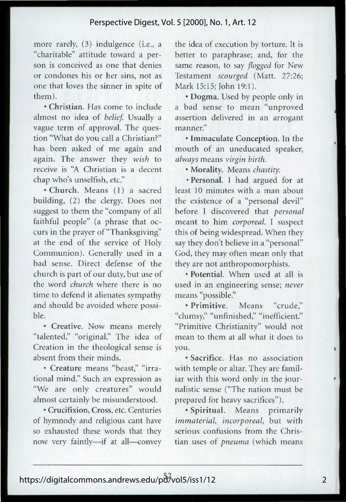more rarely, (3) indulgence (i.e., a "charitable" attitude toward a person is conceived as one that denies or condones his or her sins, not as one that loves the sinner in spite of them).

• Christian. Has come to include almost no idea of *belief*. Usually a vague term of approval. The question "What do you call a Christian?" has been asked of me again and again. The answer they *wish* to receive is "A Christian is a decent chap who's unselfish, etc."

•Church. Means (1) a sacred building, (2) the clergy. Does not suggest to them the "company of all faithful people" (a phrase that occurs in the prayer of "Thanksgiving" at the end of the service of Holy Communion). Generally used in a bad sense. Direct defense of the church is part of our duty, but use of the word *church* where there is no time to defend it alienates sympathy and should be avoided where possible.

• Creative. Now means merely "talented," "original." The idea of Creation in the theological sense is absent from their minds.

• Creature means "beast," "irrational mind." Such an expression as "We are only creatures" would almost certainly be misunderstood.

• Crucifixion, Cross, etc. Centuries of hymnody and religious cant have so exhausted these words that they now very faintly—if at all—convey

the idea of execution by torture. It is better to paraphrase; and, for the same reason, to say *flogged* for New Testament *scourged* (Matt. 27:26; Mark 15:15; John 19:1).

• Dogma. Used by people only in a bad sense to mean "unproved assertion delivered in an arrogant manner"

• Immaculate Conception. In the mouth of an uneducated speaker, *always* means *virgin birth.*

• Morality. Means *chastity.*

• Personal. I had argued for at least 10 minutes with a man about the existence of a "personal devil" before I discovered that *personal* meant to him *corporeal.* I suspect this of being widespread. When they say they don't believe in a "personal" God, they may often mean only that they are not anthropomorphists.

• Potential. When used at all is used in an engineering sense; *never* means "possible."

• Primitive. Means "crude," "clumsy," "unfinished," "inefficient." "Primitive Christianity" would not mean to them at all what it does to you.

• Sacrifice. Has no association with temple or altar. They are familiar with this word only in the journalistic sense ("The nation must be prepared for heavy sacrifices").

• Spiritual. Means primarily *immaterial, incorporeal*, but with serious confusions from the Christian uses of *pneuma* (which means